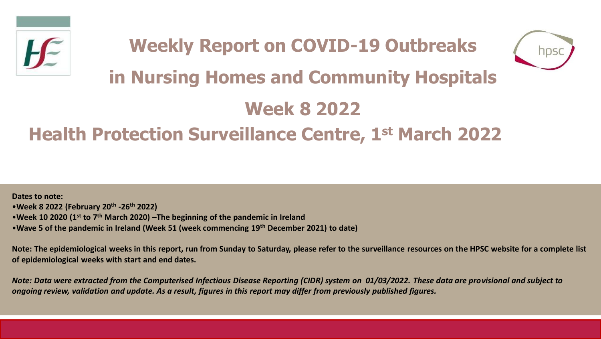



# **in Nursing Homes and Community Hospitals**

# **Week 8 2022**

## **Health Protection Surveillance Centre, 1st March 2022**

**Dates to note:** •**Week 8 2022 (February 20th -26th 2022)** •**Week 10 2020 (1st to 7th March 2020) –The beginning of the pandemic in Ireland**  •**Wave 5 of the pandemic in Ireland (Week 51 (week commencing 19th December 2021) to date)**

**Note: The epidemiological weeks in this report, run from Sunday to Saturday, please refer to the surveillance resources on the HPSC website for a complete list of epidemiological weeks with start and end dates.**

*Note: Data were extracted from the Computerised Infectious Disease Reporting (CIDR) system on 01/03/2022. These data are provisional and subject to ongoing review, validation and update. As a result, figures in this report may differ from previously published figures.*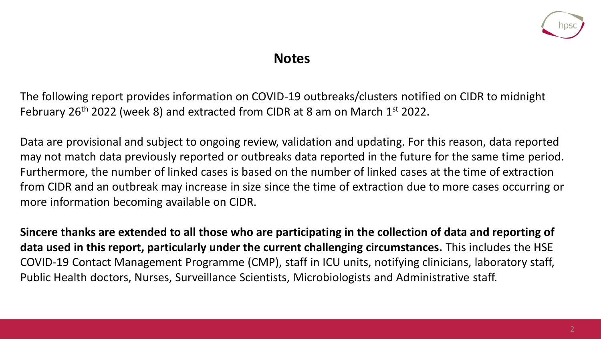

### **Notes**

The following report provides information on COVID-19 outbreaks/clusters notified on CIDR to midnight February 26<sup>th</sup> 2022 (week 8) and extracted from CIDR at 8 am on March 1<sup>st</sup> 2022.

Data are provisional and subject to ongoing review, validation and updating. For this reason, data reported may not match data previously reported or outbreaks data reported in the future for the same time period. Furthermore, the number of linked cases is based on the number of linked cases at the time of extraction from CIDR and an outbreak may increase in size since the time of extraction due to more cases occurring or more information becoming available on CIDR.

**Sincere thanks are extended to all those who are participating in the collection of data and reporting of data used in this report, particularly under the current challenging circumstances.** This includes the HSE COVID-19 Contact Management Programme (CMP), staff in ICU units, notifying clinicians, laboratory staff, Public Health doctors, Nurses, Surveillance Scientists, Microbiologists and Administrative staff.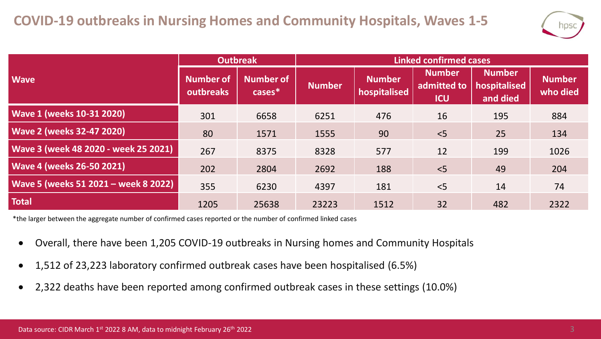

|                                      | <b>Outbreak</b>                      |                            | <b>Linked confirmed cases</b> |                               |                                            |                                           |                           |  |
|--------------------------------------|--------------------------------------|----------------------------|-------------------------------|-------------------------------|--------------------------------------------|-------------------------------------------|---------------------------|--|
| <b>Wave</b>                          | <b>Number of</b><br><b>outbreaks</b> | <b>Number of</b><br>cases* | <b>Number</b>                 | <b>Number</b><br>hospitalised | <b>Number</b><br>admitted to<br><b>ICU</b> | <b>Number</b><br>hospitalised<br>and died | <b>Number</b><br>who died |  |
| <b>Wave 1 (weeks 10-31 2020)</b>     | 301                                  | 6658                       | 6251                          | 476                           | 16                                         | 195                                       | 884                       |  |
| <b>Wave 2 (weeks 32-47 2020)</b>     | 80                                   | 1571                       | 1555                          | 90                            | < 5                                        | 25                                        | 134                       |  |
| Wave 3 (week 48 2020 - week 25 2021) | 267                                  | 8375                       | 8328                          | 577                           | 12                                         | 199                                       | 1026                      |  |
| <b>Wave 4 (weeks 26-50 2021)</b>     | 202                                  | 2804                       | 2692                          | 188                           | < 5                                        | 49                                        | 204                       |  |
| Wave 5 (weeks 51 2021 - week 8 2022) | 355                                  | 6230                       | 4397                          | 181                           | $<$ 5                                      | 14                                        | 74                        |  |
| <b>Total</b>                         | 1205                                 | 25638                      | 23223                         | 1512                          | 32                                         | 482                                       | 2322                      |  |

\*the larger between the aggregate number of confirmed cases reported or the number of confirmed linked cases

- Overall, there have been 1,205 COVID-19 outbreaks in Nursing homes and Community Hospitals
- 1,512 of 23,223 laboratory confirmed outbreak cases have been hospitalised (6.5%)
- 2,322 deaths have been reported among confirmed outbreak cases in these settings (10.0%)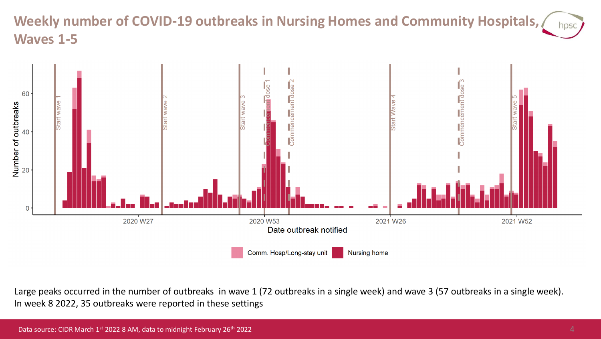#### **Weekly number of COVID-19 outbreaks in Nursing Homes and Community Hospitals,**  hpsc **Waves 1-5**



Large peaks occurred in the number of outbreaks in wave 1 (72 outbreaks in a single week) and wave 3 (57 outbreaks in a single week). In week 8 2022, 35 outbreaks were reported in these settings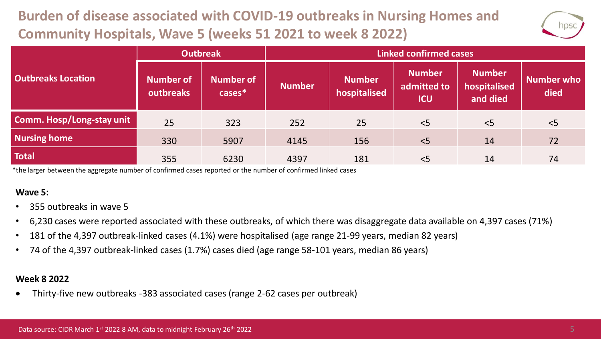## **Burden of disease associated with COVID-19 outbreaks in Nursing Homes and Community Hospitals, Wave 5 (weeks 51 2021 to week 8 2022)**



|                           | <b>Outbreak</b>        |                               | <b>Linked confirmed cases</b> |                               |                                            |                                           |                    |  |
|---------------------------|------------------------|-------------------------------|-------------------------------|-------------------------------|--------------------------------------------|-------------------------------------------|--------------------|--|
| <b>Outbreaks Location</b> | Number of<br>outbreaks | <b>Number of</b><br>$cases^*$ | <b>Number</b>                 | <b>Number</b><br>hospitalised | <b>Number</b><br>admitted to<br><b>ICU</b> | <b>Number</b><br>hospitalised<br>and died | Number who<br>died |  |
| Comm. Hosp/Long-stay unit | 25                     | 323                           | 252                           | 25                            | < 5                                        | < 5                                       | < 5                |  |
| <b>Nursing home</b>       | 330                    | 5907                          | 4145                          | 156                           | < 5                                        | 14                                        | 72                 |  |
| <b>Total</b>              | 355                    | 6230                          | 4397                          | 181                           | < 5                                        | 14                                        | 74                 |  |

\*the larger between the aggregate number of confirmed cases reported or the number of confirmed linked cases

#### **Wave 5:**

- 355 outbreaks in wave 5
- 6,230 cases were reported associated with these outbreaks, of which there was disaggregate data available on 4,397 cases (71%)
- 181 of the 4,397 outbreak-linked cases (4.1%) were hospitalised (age range 21-99 years, median 82 years)
- 74 of the 4,397 outbreak-linked cases (1.7%) cases died (age range 58-101 years, median 86 years)

#### **Week 8 2022**

• Thirty-five new outbreaks -383 associated cases (range 2-62 cases per outbreak)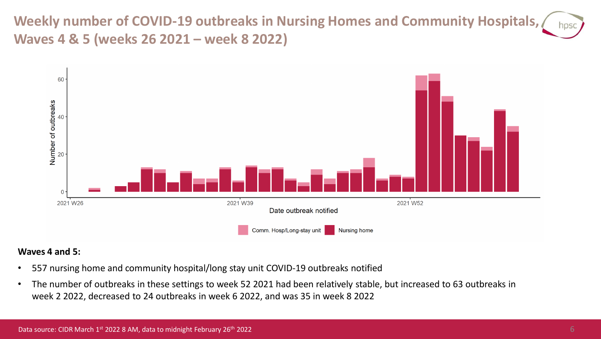**Weekly number of COVID-19 outbreaks in Nursing Homes and Community Hospitals, Waves 4 & 5 (weeks 26 2021 – week 8 2022)**



#### **Waves 4 and 5:**

- 557 nursing home and community hospital/long stay unit COVID-19 outbreaks notified
- The number of outbreaks in these settings to week 52 2021 had been relatively stable, but increased to 63 outbreaks in week 2 2022, decreased to 24 outbreaks in week 6 2022, and was 35 in week 8 2022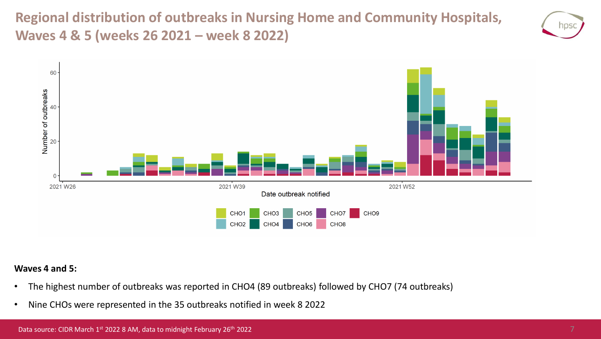**Regional distribution of outbreaks in Nursing Home and Community Hospitals, Waves 4 & 5 (weeks 26 2021 – week 8 2022)**





#### **Waves 4 and 5:**

- The highest number of outbreaks was reported in CHO4 (89 outbreaks) followed by CHO7 (74 outbreaks)
- Nine CHOs were represented in the 35 outbreaks notified in week 8 2022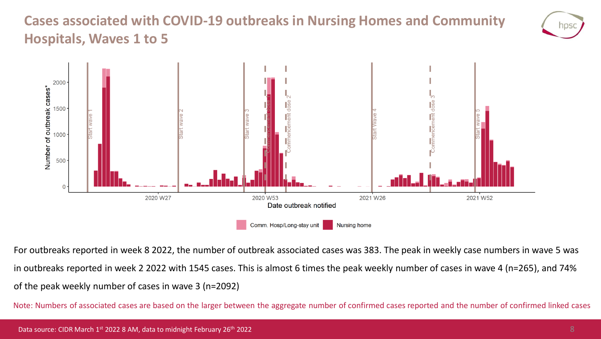### **Cases associated with COVID-19 outbreaks in Nursing Homes and Community Hospitals, Waves 1 to 5**





For outbreaks reported in week 8 2022, the number of outbreak associated cases was 383. The peak in weekly case numbers in wave 5 was in outbreaks reported in week 2 2022 with 1545 cases. This is almost 6 times the peak weekly number of cases in wave 4 (n=265), and 74% of the peak weekly number of cases in wave 3 (n=2092)

Note: Numbers of associated cases are based on the larger between the aggregate number of confirmed cases reported and the number of confirmed linked cases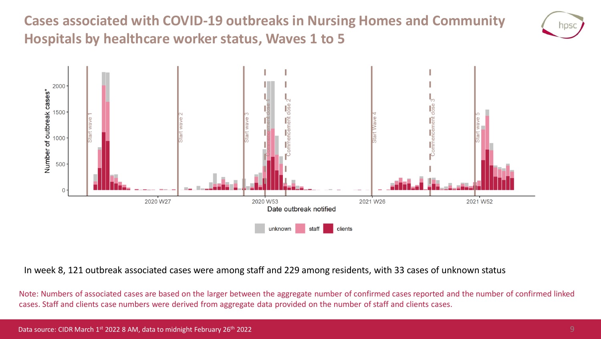**Cases associated with COVID-19 outbreaks in Nursing Homes and Community Hospitals by healthcare worker status, Waves 1 to 5**





In week 8, 121 outbreak associated cases were among staff and 229 among residents, with 33 cases of unknown status

Note: Numbers of associated cases are based on the larger between the aggregate number of confirmed cases reported and the number of confirmed linked cases. Staff and clients case numbers were derived from aggregate data provided on the number of staff and clients cases.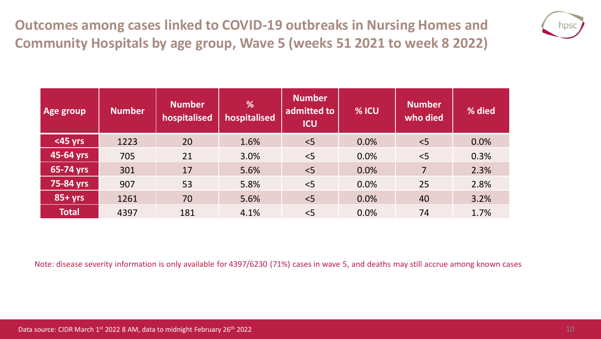**Outcomes among cases linked to COVID-19 outbreaks in Nursing Homes and Community Hospitals by age group, Wave 5 (weeks 51 2021 to week 8 2022)**



| Age group      | <b>Number</b> | <b>Number</b><br>hospitalised | %<br>hospitalised | <b>Number</b><br>admitted to<br><b>ICU</b> | % ICU | <b>Number</b><br>who died | % died |
|----------------|---------------|-------------------------------|-------------------|--------------------------------------------|-------|---------------------------|--------|
| <45 yrs        | 1223          | 20                            | 1.6%              | < 5                                        | 0.0%  | < 5                       | 0.0%   |
| 45-64 yrs      | 705           | 21                            | 3.0%              | < 5                                        | 0.0%  | $<$ 5                     | 0.3%   |
| 65-74 yrs      | 301           | 17                            | 5.6%              | < 5                                        | 0.0%  | $\overline{7}$            | 2.3%   |
| 75-84 yrs      | 907           | 53                            | 5.8%              | < 5                                        | 0.0%  | 25                        | 2.8%   |
| <b>85+ yrs</b> | 1261          | 70                            | 5.6%              | < 5                                        | 0.0%  | 40                        | 3.2%   |
| <b>Total</b>   | 4397          | 181                           | 4.1%              | < 5                                        | 0.0%  | 74                        | 1.7%   |

Note: disease severity information is only available for 4397/6230 (71%) cases in wave 5, and deaths may still accrue among known cases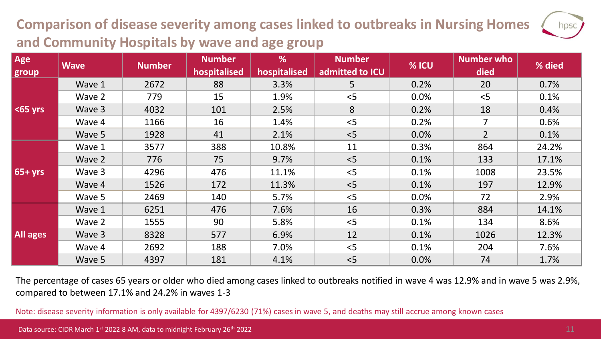## **Comparison of disease severity among cases linked to outbreaks in Nursing Homes and Community Hospitals by wave and age group**

| Age<br>group    | <b>Wave</b> | <b>Number</b> | <b>Number</b><br>hospitalised | %<br>hospitalised | <b>Number</b><br>admitted to ICU | % ICU | Number who<br>died | % died |
|-----------------|-------------|---------------|-------------------------------|-------------------|----------------------------------|-------|--------------------|--------|
|                 | Wave 1      | 2672          | 88                            | 3.3%              | 5                                | 0.2%  | 20                 | 0.7%   |
|                 | Wave 2      | 779           | 15                            | 1.9%              | < 5                              | 0.0%  | < 5                | 0.1%   |
| $\leq$ 65 yrs   | Wave 3      | 4032          | 101                           | 2.5%              | 8                                | 0.2%  | 18                 | 0.4%   |
|                 | Wave 4      | 1166          | 16                            | 1.4%              | < 5                              | 0.2%  | 7                  | 0.6%   |
|                 | Wave 5      | 1928          | 41                            | 2.1%              | < 5                              | 0.0%  | 2 <sup>1</sup>     | 0.1%   |
| $65 + yrs$      | Wave 1      | 3577          | 388                           | 10.8%             | 11                               | 0.3%  | 864                | 24.2%  |
|                 | Wave 2      | 776           | 75                            | 9.7%              | < 5                              | 0.1%  | 133                | 17.1%  |
|                 | Wave 3      | 4296          | 476                           | 11.1%             | < 5                              | 0.1%  | 1008               | 23.5%  |
|                 | Wave 4      | 1526          | 172                           | 11.3%             | < 5                              | 0.1%  | 197                | 12.9%  |
|                 | Wave 5      | 2469          | 140                           | 5.7%              | < 5                              | 0.0%  | 72                 | 2.9%   |
| <b>All ages</b> | Wave 1      | 6251          | 476                           | 7.6%              | 16                               | 0.3%  | 884                | 14.1%  |
|                 | Wave 2      | 1555          | 90                            | 5.8%              | < 5                              | 0.1%  | 134                | 8.6%   |
|                 | Wave 3      | 8328          | 577                           | 6.9%              | 12                               | 0.1%  | 1026               | 12.3%  |
|                 | Wave 4      | 2692          | 188                           | 7.0%              | < 5                              | 0.1%  | 204                | 7.6%   |
|                 | Wave 5      | 4397          | 181                           | 4.1%              | < 5                              | 0.0%  | 74                 | 1.7%   |

The percentage of cases 65 years or older who died among cases linked to outbreaks notified in wave 4 was 12.9% and in wave 5 was 2.9%, compared to between 17.1% and 24.2% in waves 1-3

Note: disease severity information is only available for 4397/6230 (71%) cases in wave 5, and deaths may still accrue among known cases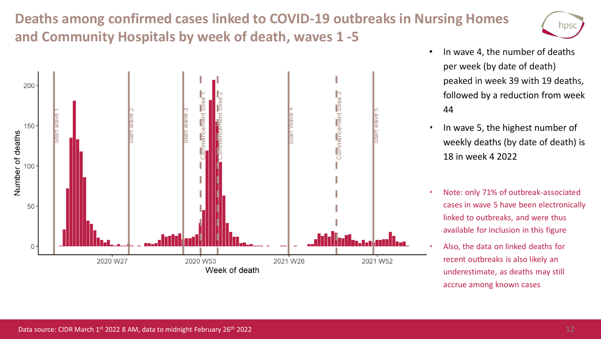### **Deaths among confirmed cases linked to COVID-19 outbreaks in Nursing Homes and Community Hospitals by week of death, waves 1 -5**





- In wave 4, the number of deaths per week (by date of death) peaked in week 39 with 19 deaths, followed by a reduction from week 44
- In wave 5, the highest number of weekly deaths (by date of death) is 18 in week 4 2022
- Note: only 71% of outbreak-associated cases in wave 5 have been electronically linked to outbreaks, and were thus available for inclusion in this figure
- Also, the data on linked deaths for recent outbreaks is also likely an underestimate, as deaths may still accrue among known cases